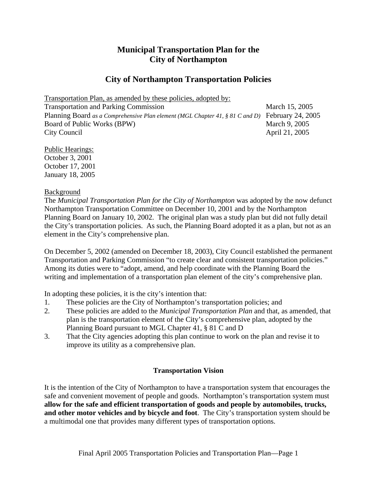# **Municipal Transportation Plan for the City of Northampton**

# **City of Northampton Transportation Policies**

Transportation Plan, as amended by these policies, adopted by:

Transportation and Parking Commission March 15, 2005 Planning Board *as a Comprehensive Plan element (MGL Chapter 41, § 81 C and D)* February 24, 2005 Board of Public Works (BPW) March 9, 2005 City Council April 21, 2005

Public Hearings: October 3, 2001 October 17, 2001 January 18, 2005

## Background

The *Municipal Transportation Plan for the City of Northampton* was adopted by the now defunct Northampton Transportation Committee on December 10, 2001 and by the Northampton Planning Board on January 10, 2002. The original plan was a study plan but did not fully detail the City's transportation policies. As such, the Planning Board adopted it as a plan, but not as an element in the City's comprehensive plan.

On December 5, 2002 (amended on December 18, 2003), City Council established the permanent Transportation and Parking Commission "to create clear and consistent transportation policies." Among its duties were to "adopt, amend, and help coordinate with the Planning Board the writing and implementation of a transportation plan element of the city's comprehensive plan.

In adopting these policies, it is the city's intention that:

- 1. These policies are the City of Northampton's transportation policies; and
- 2. These policies are added to the *Municipal Transportation Plan* and that, as amended, that plan is the transportation element of the City's comprehensive plan, adopted by the Planning Board pursuant to MGL Chapter 41, § 81 C and D
- 3. That the City agencies adopting this plan continue to work on the plan and revise it to improve its utility as a comprehensive plan.

# **Transportation Vision**

It is the intention of the City of Northampton to have a transportation system that encourages the safe and convenient movement of people and goods. Northampton's transportation system must **allow for the safe and efficient transportation of goods and people by automobiles, trucks, and other motor vehicles and by bicycle and foot**. The City's transportation system should be a multimodal one that provides many different types of transportation options.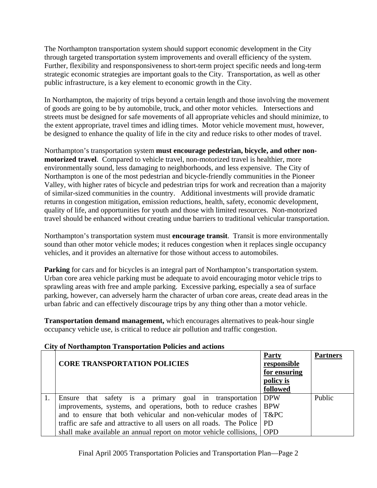The Northampton transportation system should support economic development in the City through targeted transportation system improvements and overall efficiency of the system. Further, flexibility and responsponsiveness to short-term project specific needs and long-term strategic economic strategies are important goals to the City. Transportation, as well as other public infrastructure, is a key element to economic growth in the City.

In Northampton, the majority of trips beyond a certain length and those involving the movement of goods are going to be by automobile, truck, and other motor vehicles. Intersections and streets must be designed for safe movements of all appropriate vehicles and should minimize, to the extent appropriate, travel times and idling times. Motor vehicle movement must, however, be designed to enhance the quality of life in the city and reduce risks to other modes of travel.

Northampton's transportation system **must encourage pedestrian, bicycle, and other nonmotorized travel**. Compared to vehicle travel, non-motorized travel is healthier, more environmentally sound, less damaging to neighborhoods, and less expensive. The City of Northampton is one of the most pedestrian and bicycle-friendly communities in the Pioneer Valley, with higher rates of bicycle and pedestrian trips for work and recreation than a majority of similar-sized communities in the country. Additional investments will provide dramatic returns in congestion mitigation, emission reductions, health, safety, economic development, quality of life, and opportunities for youth and those with limited resources. Non-motorized travel should be enhanced without creating undue barriers to traditional vehicular transportation.

Northampton's transportation system must **encourage transit**. Transit is more environmentally sound than other motor vehicle modes; it reduces congestion when it replaces single occupancy vehicles, and it provides an alternative for those without access to automobiles.

**Parking** for cars and for bicycles is an integral part of Northampton's transportation system. Urban core area vehicle parking must be adequate to avoid encouraging motor vehicle trips to sprawling areas with free and ample parking. Excessive parking, especially a sea of surface parking, however, can adversely harm the character of urban core areas, create dead areas in the urban fabric and can effectively discourage trips by any thing other than a motor vehicle.

**Transportation demand management,** which encourages alternatives to peak-hour single occupancy vehicle use, is critical to reduce air pollution and traffic congestion.

**Partners**

Public

PD OPD

#### **CORE TRANSPORTATION POLICIES Party responsible for ensuring policy is followed** 1. Ensure that safety is a primary goal in transportation improvements, systems, and operations, both to reduce crashes and to ensure that both vehicular and non-vehicular modes of DPW BPW T&PC

traffic are safe and attractive to all users on all roads. The Police shall make available an annual report on motor vehicle collisions,

## **City of Northampton Transportation Policies and actions**

Final April 2005 Transportation Policies and Transportation Plan—Page 2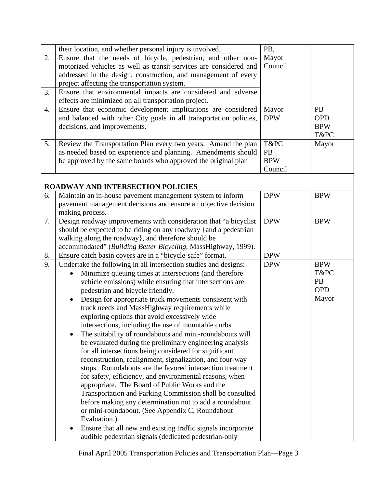|    | their location, and whether personal injury is involved.              | PB,        |            |  |
|----|-----------------------------------------------------------------------|------------|------------|--|
| 2. | Ensure that the needs of bicycle, pedestrian, and other non-          | Mayor      |            |  |
|    | motorized vehicles as well as transit services are considered and     | Council    |            |  |
|    | addressed in the design, construction, and management of every        |            |            |  |
|    |                                                                       |            |            |  |
|    | project affecting the transportation system.                          |            |            |  |
| 3. | Ensure that environmental impacts are considered and adverse          |            |            |  |
|    | effects are minimized on all transportation project.                  |            |            |  |
| 4. | Ensure that economic development implications are considered          | Mayor      | <b>PB</b>  |  |
|    | and balanced with other City goals in all transportation policies,    | <b>DPW</b> | <b>OPD</b> |  |
|    | decisions, and improvements.                                          |            | <b>BPW</b> |  |
|    |                                                                       |            | T&PC       |  |
| 5. | Review the Transportation Plan every two years. Amend the plan        | T&PC       | Mayor      |  |
|    | as needed based on experience and planning. Amendments should         | PB         |            |  |
|    | be approved by the same boards who approved the original plan         | <b>BPW</b> |            |  |
|    |                                                                       | Council    |            |  |
|    |                                                                       |            |            |  |
|    | <b>ROADWAY AND INTERSECTION POLICIES</b>                              |            |            |  |
| 6. | Maintain an in-house pavement management system to inform             | <b>DPW</b> | <b>BPW</b> |  |
|    | pavement management decisions and ensure an objective decision        |            |            |  |
|    | making process.                                                       |            |            |  |
| 7. | Design roadway improvements with consideration that "a bicyclist      | <b>DPW</b> | <b>BPW</b> |  |
|    | should be expected to be riding on any roadway {and a pedestrian      |            |            |  |
|    |                                                                       |            |            |  |
|    | walking along the roadway}, and therefore should be                   |            |            |  |
|    | accommodated" (Building Better Bicycling, MassHighway, 1999).         |            |            |  |
| 8. | Ensure catch basin covers are in a "bicycle-safe" format.             | <b>DPW</b> |            |  |
| 9. | Undertake the following in all intersection studies and designs:      | <b>DPW</b> | <b>BPW</b> |  |
|    | Minimize queuing times at intersections (and therefore<br>$\bullet$   |            | T&PC       |  |
|    | vehicle emissions) while ensuring that intersections are              |            | <b>PB</b>  |  |
|    | pedestrian and bicycle friendly.                                      |            | <b>OPD</b> |  |
|    | Design for appropriate truck movements consistent with<br>$\bullet$   |            | Mayor      |  |
|    | truck needs and MassHighway requirements while                        |            |            |  |
|    | exploring options that avoid excessively wide                         |            |            |  |
|    | intersections, including the use of mountable curbs.                  |            |            |  |
|    | The suitability of roundabouts and mini-roundabouts will<br>$\bullet$ |            |            |  |
|    | be evaluated during the preliminary engineering analysis              |            |            |  |
|    | for all intersections being considered for significant                |            |            |  |
|    | reconstruction, realignment, signalization, and four-way              |            |            |  |
|    | stops. Roundabouts are the favored intersection treatment             |            |            |  |
|    |                                                                       |            |            |  |
|    | for safety, efficiency, and environmental reasons, when               |            |            |  |
|    | appropriate. The Board of Public Works and the                        |            |            |  |
|    | Transportation and Parking Commission shall be consulted              |            |            |  |
|    | before making any determination not to add a roundabout               |            |            |  |
|    | or mini-roundabout. (See Appendix C, Roundabout                       |            |            |  |
|    | Evaluation.)                                                          |            |            |  |
|    | Ensure that all new and existing traffic signals incorporate<br>٠     |            |            |  |
|    | audible pedestrian signals (dedicated pedestrian-only                 |            |            |  |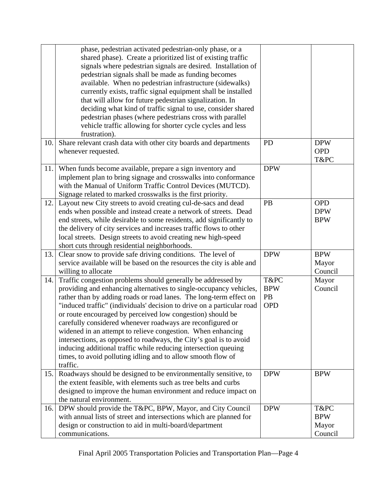|     | phase, pedestrian activated pedestrian-only phase, or a<br>shared phase). Create a prioritized list of existing traffic<br>signals where pedestrian signals are desired. Installation of<br>pedestrian signals shall be made as funding becomes<br>available. When no pedestrian infrastructure (sidewalks)<br>currently exists, traffic signal equipment shall be installed<br>that will allow for future pedestrian signalization. In<br>deciding what kind of traffic signal to use, consider shared<br>pedestrian phases (where pedestrians cross with parallel<br>vehicle traffic allowing for shorter cycle cycles and less                                                                  |                                        |                                        |
|-----|----------------------------------------------------------------------------------------------------------------------------------------------------------------------------------------------------------------------------------------------------------------------------------------------------------------------------------------------------------------------------------------------------------------------------------------------------------------------------------------------------------------------------------------------------------------------------------------------------------------------------------------------------------------------------------------------------|----------------------------------------|----------------------------------------|
| 10. | frustration).<br>Share relevant crash data with other city boards and departments<br>whenever requested.                                                                                                                                                                                                                                                                                                                                                                                                                                                                                                                                                                                           | <b>PD</b>                              | <b>DPW</b><br><b>OPD</b><br>T&PC       |
| 11. | When funds become available, prepare a sign inventory and<br>implement plan to bring signage and crosswalks into conformance<br>with the Manual of Uniform Traffic Control Devices (MUTCD).<br>Signage related to marked crosswalks is the first priority.                                                                                                                                                                                                                                                                                                                                                                                                                                         | <b>DPW</b>                             |                                        |
| 12. | Layout new City streets to avoid creating cul-de-sacs and dead<br>ends when possible and instead create a network of streets. Dead<br>end streets, while desirable to some residents, add significantly to<br>the delivery of city services and increases traffic flows to other<br>local streets. Design streets to avoid creating new high-speed<br>short cuts through residential neighborhoods.                                                                                                                                                                                                                                                                                                | PB                                     | <b>OPD</b><br><b>DPW</b><br><b>BPW</b> |
| 13. | Clear snow to provide safe driving conditions. The level of<br>service available will be based on the resources the city is able and<br>willing to allocate                                                                                                                                                                                                                                                                                                                                                                                                                                                                                                                                        | <b>DPW</b>                             | <b>BPW</b><br>Mayor<br>Council         |
| 14. | Traffic congestion problems should generally be addressed by<br>providing and enhancing alternatives to single-occupancy vehicles,<br>rather than by adding roads or road lanes. The long-term effect on<br>"induced traffic" (individuals' decision to drive on a particular road<br>or route encouraged by perceived low congestion) should be<br>carefully considered whenever roadways are reconfigured or<br>widened in an attempt to relieve congestion. When enhancing<br>intersections, as opposed to roadways, the City's goal is to avoid<br>inducing additional traffic while reducing intersection queuing<br>times, to avoid polluting idling and to allow smooth flow of<br>traffic. | T&PC<br><b>BPW</b><br>PB<br><b>OPD</b> | Mayor<br>Council                       |
| 15. | Roadways should be designed to be environmentally sensitive, to<br>the extent feasible, with elements such as tree belts and curbs<br>designed to improve the human environment and reduce impact on<br>the natural environment.                                                                                                                                                                                                                                                                                                                                                                                                                                                                   | <b>DPW</b>                             | <b>BPW</b>                             |
| 16. | DPW should provide the T&PC, BPW, Mayor, and City Council<br>with annual lists of street and intersections which are planned for<br>design or construction to aid in multi-board/department<br>communications.                                                                                                                                                                                                                                                                                                                                                                                                                                                                                     | <b>DPW</b>                             | T&PC<br><b>BPW</b><br>Mayor<br>Council |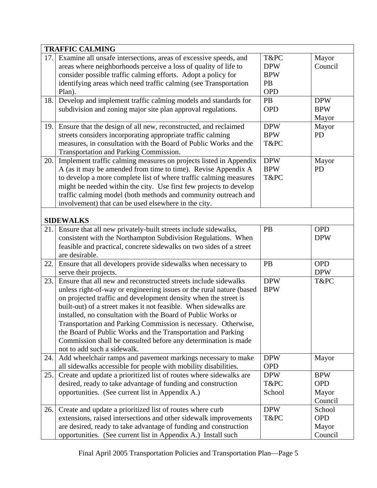|      | <b>TRAFFIC CALMING</b>                                               |            |            |
|------|----------------------------------------------------------------------|------------|------------|
| 17.1 | Examine all unsafe intersections, areas of excessive speeds, and     | T&PC       | Mayor      |
|      | areas where neighborhoods perceive a loss of quality of life to      | <b>DPW</b> | Council    |
|      | consider possible traffic calming efforts. Adopt a policy for        | <b>BPW</b> |            |
|      | identifying areas which need traffic calming (see Transportation     | PB         |            |
|      | Plan).                                                               | <b>OPD</b> |            |
| 18.  | Develop and implement traffic calming models and standards for       | <b>PB</b>  | <b>DPW</b> |
|      | subdivision and zoning major site plan approval regulations.         | <b>OPD</b> | <b>BPW</b> |
|      |                                                                      |            | Mayor      |
| 19.  | Ensure that the design of all new, reconstructed, and reclaimed      | <b>DPW</b> | Mayor      |
|      | streets considers incorporating appropriate traffic calming          | <b>BPW</b> | <b>PD</b>  |
|      | measures, in consultation with the Board of Public Works and the     | T&PC       |            |
|      | Transportation and Parking Commission.                               |            |            |
| 20.  | Implement traffic calming measures on projects listed in Appendix    | <b>DPW</b> | Mayor      |
|      | A (as it may be amended from time to time). Revise Appendix A        | <b>BPW</b> | <b>PD</b>  |
|      | to develop a more complete list of where traffic calming measures    | T&PC       |            |
|      | might be needed within the city. Use first few projects to develop   |            |            |
|      | traffic calming model (both methods and community outreach and       |            |            |
|      | involvement) that can be used elsewhere in the city.                 |            |            |
|      |                                                                      |            |            |
|      | <b>SIDEWALKS</b>                                                     |            |            |
| 21.1 | Ensure that all new privately-built streets include sidewalks,       | PB         | <b>OPD</b> |
|      | consistent with the Northampton Subdivision Regulations. When        |            | <b>DPW</b> |
|      | feasible and practical, concrete sidewalks on two sides of a street  |            |            |
|      | are desirable.                                                       |            |            |
| 22.  | Ensure that all developers provide sidewalks when necessary to       | PB         | <b>OPD</b> |
|      | serve their projects.                                                |            | <b>DPW</b> |
| 23.  | Ensure that all new and reconstructed streets include sidewalks      | <b>DPW</b> | T&PC       |
|      | unless right-of-way or engineering issues or the rural nature (based | <b>BPW</b> |            |
|      | on projected traffic and development density when the street is      |            |            |
|      | built-out) of a street makes it not feasible. When sidewalks are     |            |            |
|      | installed, no consultation with the Board of Public Works or         |            |            |
|      | Transportation and Parking Commission is necessary. Otherwise,       |            |            |
|      | the Board of Public Works and the Transportation and Parking         |            |            |
|      | Commission shall be consulted before any determination is made       |            |            |
|      | not to add such a sidewalk.                                          |            |            |
| 24.  | Add wheelchair ramps and pavement markings necessary to make         | <b>DPW</b> | Mayor      |
|      | all sidewalks accessible for people with mobility disabilities.      | <b>OPD</b> |            |
| 25.  | Create and update a prioritized list of routes where sidewalks are   | <b>DPW</b> | <b>BPW</b> |
|      | desired, ready to take advantage of funding and construction         | T&PC       | <b>OPD</b> |
|      | opportunities. (See current list in Appendix A.)                     | School     | Mayor      |
|      |                                                                      |            | Council    |
| 26.  | Create and update a prioritized list of routes where curb            | <b>DPW</b> | School     |
|      | extensions, raised intersections and other sidewalk improvements     | T&PC       | <b>OPD</b> |
|      | are desired, ready to take advantage of funding and construction     |            | Mayor      |
|      | opportunities. (See current list in Appendix A.) Install such        |            | Council    |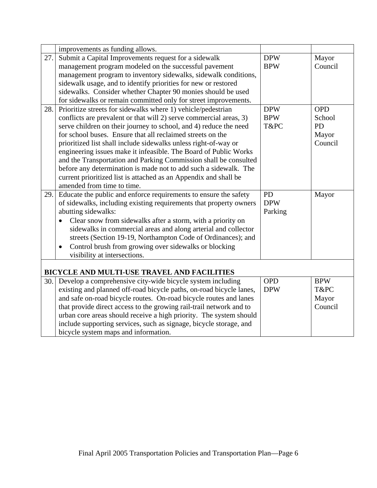|     | improvements as funding allows.                                                                                                           |            |            |
|-----|-------------------------------------------------------------------------------------------------------------------------------------------|------------|------------|
| 27. | Submit a Capital Improvements request for a sidewalk                                                                                      | <b>DPW</b> | Mayor      |
|     | management program modeled on the successful pavement                                                                                     | <b>BPW</b> | Council    |
|     | management program to inventory sidewalks, sidewalk conditions,                                                                           |            |            |
|     | sidewalk usage, and to identify priorities for new or restored                                                                            |            |            |
|     | sidewalks. Consider whether Chapter 90 monies should be used                                                                              |            |            |
|     | for sidewalks or remain committed only for street improvements.                                                                           |            |            |
| 28. | Prioritize streets for sidewalks where 1) vehicle/pedestrian                                                                              | <b>DPW</b> | <b>OPD</b> |
|     | conflicts are prevalent or that will 2) serve commercial areas, 3)                                                                        | <b>BPW</b> | School     |
|     | serve children on their journey to school, and 4) reduce the need                                                                         | T&PC       | <b>PD</b>  |
|     | for school buses. Ensure that all reclaimed streets on the                                                                                |            | Mayor      |
|     | prioritized list shall include sidewalks unless right-of-way or                                                                           |            | Council    |
|     | engineering issues make it infeasible. The Board of Public Works                                                                          |            |            |
|     | and the Transportation and Parking Commission shall be consulted                                                                          |            |            |
|     | before any determination is made not to add such a sidewalk. The                                                                          |            |            |
|     | current prioritized list is attached as an Appendix and shall be                                                                          |            |            |
|     | amended from time to time.                                                                                                                |            |            |
|     |                                                                                                                                           |            |            |
| 29. | Educate the public and enforce requirements to ensure the safety                                                                          | PD         | Mayor      |
|     | of sidewalks, including existing requirements that property owners                                                                        | <b>DPW</b> |            |
|     | abutting sidewalks:                                                                                                                       | Parking    |            |
|     | Clear snow from sidewalks after a storm, with a priority on                                                                               |            |            |
|     | sidewalks in commercial areas and along arterial and collector                                                                            |            |            |
|     | streets (Section 19-19, Northampton Code of Ordinances); and                                                                              |            |            |
|     | Control brush from growing over sidewalks or blocking<br>$\bullet$                                                                        |            |            |
|     | visibility at intersections.                                                                                                              |            |            |
|     |                                                                                                                                           |            |            |
| 30. | BICYCLE AND MULTI-USE TRAVEL AND FACILITIES                                                                                               | <b>OPD</b> | <b>BPW</b> |
|     | Develop a comprehensive city-wide bicycle system including                                                                                | <b>DPW</b> | T&PC       |
|     | existing and planned off-road bicycle paths, on-road bicycle lanes,                                                                       |            | Mayor      |
|     | and safe on-road bicycle routes. On-road bicycle routes and lanes                                                                         |            | Council    |
|     | that provide direct access to the growing rail-trail network and to<br>urban core areas should receive a high priority. The system should |            |            |
|     | include supporting services, such as signage, bicycle storage, and                                                                        |            |            |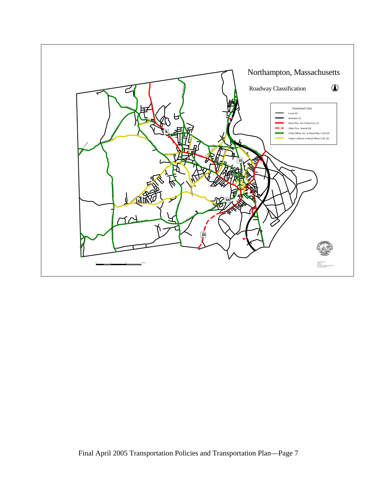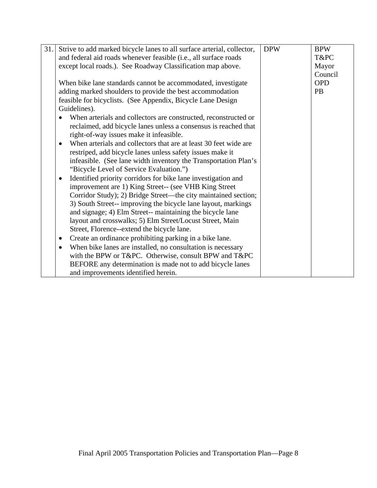| 31. | Strive to add marked bicycle lanes to all surface arterial, collector,     | <b>DPW</b> | <b>BPW</b> |
|-----|----------------------------------------------------------------------------|------------|------------|
|     | and federal aid roads whenever feasible (i.e., all surface roads           |            | T&PC       |
|     | except local roads.). See Roadway Classification map above.                |            | Mayor      |
|     |                                                                            |            | Council    |
|     | When bike lane standards cannot be accommodated, investigate               |            | <b>OPD</b> |
|     | adding marked shoulders to provide the best accommodation                  |            | <b>PB</b>  |
|     | feasible for bicyclists. (See Appendix, Bicycle Lane Design                |            |            |
|     | Guidelines).                                                               |            |            |
|     | When arterials and collectors are constructed, reconstructed or            |            |            |
|     | reclaimed, add bicycle lanes unless a consensus is reached that            |            |            |
|     | right-of-way issues make it infeasible.                                    |            |            |
|     | When arterials and collectors that are at least 30 feet wide are           |            |            |
|     | restriped, add bicycle lanes unless safety issues make it                  |            |            |
|     | infeasible. (See lane width inventory the Transportation Plan's            |            |            |
|     | "Bicycle Level of Service Evaluation.")                                    |            |            |
|     | Identified priority corridors for bike lane investigation and<br>$\bullet$ |            |            |
|     | improvement are 1) King Street-- (see VHB King Street                      |            |            |
|     | Corridor Study); 2) Bridge Street—the city maintained section;             |            |            |
|     | 3) South Street-- improving the bicycle lane layout, markings              |            |            |
|     | and signage; 4) Elm Street-- maintaining the bicycle lane                  |            |            |
|     | layout and crosswalks; 5) Elm Street/Locust Street, Main                   |            |            |
|     | Street, Florence--extend the bicycle lane.                                 |            |            |
|     | Create an ordinance prohibiting parking in a bike lane.<br>$\bullet$       |            |            |
|     | When bike lanes are installed, no consultation is necessary                |            |            |
|     | with the BPW or T&PC. Otherwise, consult BPW and T&PC                      |            |            |
|     | BEFORE any determination is made not to add bicycle lanes                  |            |            |
|     | and improvements identified herein.                                        |            |            |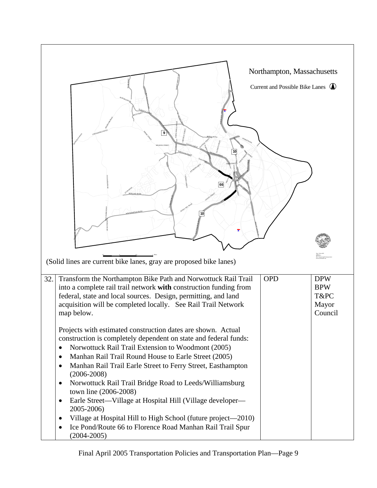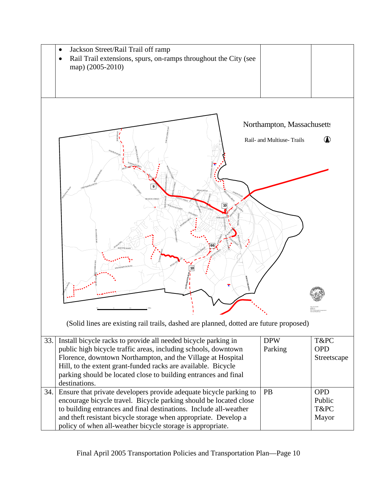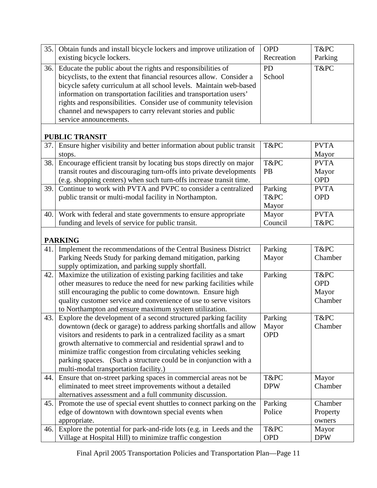| 35.  | Obtain funds and install bicycle lockers and improve utilization of     | <b>OPD</b> | T&PC        |
|------|-------------------------------------------------------------------------|------------|-------------|
|      | existing bicycle lockers.                                               | Recreation | Parking     |
| 36.  | Educate the public about the rights and responsibilities of             | <b>PD</b>  | T&PC        |
|      | bicyclists, to the extent that financial resources allow. Consider a    | School     |             |
|      | bicycle safety curriculum at all school levels. Maintain web-based      |            |             |
|      | information on transportation facilities and transportation users'      |            |             |
|      | rights and responsibilities. Consider use of community television       |            |             |
|      | channel and newspapers to carry relevant stories and public             |            |             |
|      | service announcements.                                                  |            |             |
|      | <b>PUBLIC TRANSIT</b>                                                   |            |             |
| 37.1 | Ensure higher visibility and better information about public transit    | T&PC       | <b>PVTA</b> |
|      | stops.                                                                  |            | Mayor       |
| 38.  | Encourage efficient transit by locating bus stops directly on major     | T&PC       | <b>PVTA</b> |
|      | transit routes and discouraging turn-offs into private developments     | <b>PB</b>  | Mayor       |
|      | (e.g. shopping centers) when such turn-offs increase transit time.      |            | <b>OPD</b>  |
| 39.  | Continue to work with PVTA and PVPC to consider a centralized           | Parking    | <b>PVTA</b> |
|      | public transit or multi-modal facility in Northampton.                  | T&PC       | <b>OPD</b>  |
|      |                                                                         | Mayor      |             |
|      | 40. Work with federal and state governments to ensure appropriate       | Mayor      | <b>PVTA</b> |
|      | funding and levels of service for public transit.                       | Council    | T&PC        |
|      | <b>PARKING</b>                                                          |            |             |
| 41.  | Implement the recommendations of the Central Business District          | Parking    | T&PC        |
|      | Parking Needs Study for parking demand mitigation, parking              | Mayor      | Chamber     |
|      | supply optimization, and parking supply shortfall.                      |            |             |
| 42.  | Maximize the utilization of existing parking facilities and take        | Parking    | T&PC        |
|      | other measures to reduce the need for new parking facilities while      |            | <b>OPD</b>  |
|      | still encouraging the public to come downtown. Ensure high              |            | Mayor       |
|      | quality customer service and convenience of use to serve visitors       |            | Chamber     |
|      | to Northampton and ensure maximum system utilization.                   |            |             |
| 43.1 | Explore the development of a second structured parking facility         | Parking    | T&PC        |
|      | downtown (deck or garage) to address parking shortfalls and allow       | Mayor      | Chamber     |
|      | visitors and residents to park in a centralized facility as a smart     | <b>OPD</b> |             |
|      | growth alternative to commercial and residential sprawl and to          |            |             |
|      | minimize traffic congestion from circulating vehicles seeking           |            |             |
|      | parking spaces. (Such a structure could be in conjunction with a        |            |             |
|      | multi-modal transportation facility.)                                   |            |             |
| 44.  | Ensure that on-street parking spaces in commercial areas not be         | T&PC       | Mayor       |
|      | eliminated to meet street improvements without a detailed               | <b>DPW</b> | Chamber     |
|      | alternatives assessment and a full community discussion.                |            |             |
|      | 45. Promote the use of special event shuttles to connect parking on the | Parking    | Chamber     |
|      | edge of downtown with downtown special events when                      | Police     | Property    |
|      | appropriate.                                                            |            | owners      |
| 46.  | Explore the potential for park-and-ride lots (e.g. in Leeds and the     | T&PC       | Mayor       |
|      | Village at Hospital Hill) to minimize traffic congestion                | <b>OPD</b> | <b>DPW</b>  |

Final April 2005 Transportation Policies and Transportation Plan—Page 11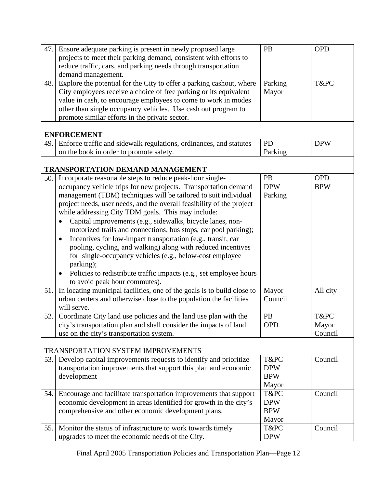| 47.  | Ensure adequate parking is present in newly proposed large                | PB         | <b>OPD</b> |
|------|---------------------------------------------------------------------------|------------|------------|
|      | projects to meet their parking demand, consistent with efforts to         |            |            |
|      | reduce traffic, cars, and parking needs through transportation            |            |            |
|      | demand management.                                                        |            |            |
| 48.  | Explore the potential for the City to offer a parking cashout, where      | Parking    | T&PC       |
|      | City employees receive a choice of free parking or its equivalent         | Mayor      |            |
|      | value in cash, to encourage employees to come to work in modes            |            |            |
|      | other than single occupancy vehicles. Use cash out program to             |            |            |
|      | promote similar efforts in the private sector.                            |            |            |
|      | <b>ENFORCEMENT</b>                                                        |            |            |
| 49.  | Enforce traffic and sidewalk regulations, ordinances, and statutes        | <b>PD</b>  | <b>DPW</b> |
|      | on the book in order to promote safety.                                   | Parking    |            |
|      |                                                                           |            |            |
|      | <b>TRANSPORTATION DEMAND MANAGEMENT</b>                                   |            |            |
| 50.  | Incorporate reasonable steps to reduce peak-hour single-                  | PB         | <b>OPD</b> |
|      | occupancy vehicle trips for new projects. Transportation demand           | <b>DPW</b> | <b>BPW</b> |
|      | management (TDM) techniques will be tailored to suit individual           | Parking    |            |
|      | project needs, user needs, and the overall feasibility of the project     |            |            |
|      | while addressing City TDM goals. This may include:                        |            |            |
|      | Capital improvements (e.g., sidewalks, bicycle lanes, non-                |            |            |
|      | motorized trails and connections, bus stops, car pool parking);           |            |            |
|      | Incentives for low-impact transportation (e.g., transit, car<br>$\bullet$ |            |            |
|      | pooling, cycling, and walking) along with reduced incentives              |            |            |
|      | for single-occupancy vehicles (e.g., below-cost employee                  |            |            |
|      | parking);                                                                 |            |            |
|      | Policies to redistribute traffic impacts (e.g., set employee hours        |            |            |
|      | to avoid peak hour commutes).                                             |            |            |
| 51.  | In locating municipal facilities, one of the goals is to build close to   | Mayor      | All city   |
|      | urban centers and otherwise close to the population the facilities        | Council    |            |
|      | will serve.                                                               |            |            |
| 52.  | Coordinate City land use policies and the land use plan with the          | PB         | T&PC       |
|      | city's transportation plan and shall consider the impacts of land         | <b>OPD</b> | Mayor      |
|      | use on the city's transportation system.                                  |            | Council    |
|      |                                                                           |            |            |
|      | <b>TRANSPORTATION SYSTEM IMPROVEMENTS</b>                                 |            |            |
| 53.  | Develop capital improvements requests to identify and prioritize          | T&PC       | Council    |
|      | transportation improvements that support this plan and economic           | <b>DPW</b> |            |
|      | development                                                               | <b>BPW</b> |            |
|      |                                                                           | Mayor      |            |
| 54.1 | Encourage and facilitate transportation improvements that support         | T&PC       | Council    |
|      | economic development in areas identified for growth in the city's         | <b>DPW</b> |            |
|      | comprehensive and other economic development plans.                       | <b>BPW</b> |            |
|      |                                                                           | Mayor      |            |
| 55.  | Monitor the status of infrastructure to work towards timely               | T&PC       | Council    |
|      | upgrades to meet the economic needs of the City.                          | <b>DPW</b> |            |
|      |                                                                           |            |            |

Final April 2005 Transportation Policies and Transportation Plan—Page 12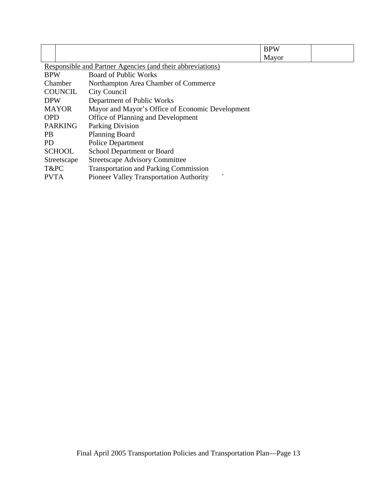|                |                                                                     | <b>BPW</b> |  |  |  |  |
|----------------|---------------------------------------------------------------------|------------|--|--|--|--|
|                | Mayor                                                               |            |  |  |  |  |
|                | <b>Responsible and Partner Agencies (and their abbreviations)</b>   |            |  |  |  |  |
| <b>BPW</b>     | <b>Board of Public Works</b>                                        |            |  |  |  |  |
| Chamber        | Northampton Area Chamber of Commerce                                |            |  |  |  |  |
| <b>COUNCIL</b> | City Council                                                        |            |  |  |  |  |
| <b>DPW</b>     | Department of Public Works                                          |            |  |  |  |  |
| <b>MAYOR</b>   | Mayor and Mayor's Office of Economic Development                    |            |  |  |  |  |
| <b>OPD</b>     | Office of Planning and Development                                  |            |  |  |  |  |
| <b>PARKING</b> | <b>Parking Division</b>                                             |            |  |  |  |  |
| <b>PB</b>      | <b>Planning Board</b>                                               |            |  |  |  |  |
| PD.            | <b>Police Department</b>                                            |            |  |  |  |  |
| <b>SCHOOL</b>  | School Department or Board                                          |            |  |  |  |  |
| Streetscape    | <b>Streetscape Advisory Committee</b>                               |            |  |  |  |  |
| T&PC           | <b>Transportation and Parking Commission</b>                        |            |  |  |  |  |
| <b>PVTA</b>    | $\overline{\phantom{0}}$<br>Pioneer Valley Transportation Authority |            |  |  |  |  |
|                |                                                                     |            |  |  |  |  |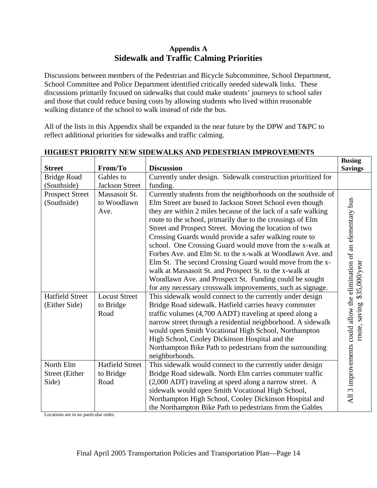# **Appendix A Sidewalk and Traffic Calming Priorities**

Discussions between members of the Pedestrian and Bicycle Subcommittee, School Department, School Committee and Police Department identified critically needed sidewalk links. These discussions primarily focused on sidewalks that could make students' journeys to school safer and those that could reduce busing costs by allowing students who lived within reasonable walking distance of the school to walk instead of ride the bus.

All of the lists in this Appendix shall be expanded in the near future by the DPW and T&PC to reflect additional priorities for sidewalks and traffic calming.

|                                             |                                             |                                                                                                                                                                                                                                                                                                                                                                                                                                                                                                                                                                                                                                                                                          | <b>Busing</b>                                                                        |
|---------------------------------------------|---------------------------------------------|------------------------------------------------------------------------------------------------------------------------------------------------------------------------------------------------------------------------------------------------------------------------------------------------------------------------------------------------------------------------------------------------------------------------------------------------------------------------------------------------------------------------------------------------------------------------------------------------------------------------------------------------------------------------------------------|--------------------------------------------------------------------------------------|
| <b>Street</b>                               | From/To                                     | <b>Discussion</b>                                                                                                                                                                                                                                                                                                                                                                                                                                                                                                                                                                                                                                                                        | <b>Savings</b>                                                                       |
| <b>Bridge Road</b>                          | Gables to                                   | Currently under design. Sidewalk construction prioritized for                                                                                                                                                                                                                                                                                                                                                                                                                                                                                                                                                                                                                            |                                                                                      |
| (Southside)                                 | <b>Jackson Street</b>                       | funding.                                                                                                                                                                                                                                                                                                                                                                                                                                                                                                                                                                                                                                                                                 |                                                                                      |
| <b>Prospect Street</b><br>(Southside)       | Massasoit St.<br>to Woodlawn<br>Ave.        | Currently students from the neighborhoods on the southside of<br>Elm Street are bused to Jackson Street School even though<br>they are within 2 miles because of the lack of a safe walking<br>route to the school, primarily due to the crossings of Elm<br>Street and Prospect Street. Moving the location of two<br>Crossing Guards would provide a safer walking route to<br>school. One Crossing Guard would move from the x-walk at<br>Forbes Ave. and Elm St. to the x-walk at Woodlawn Ave. and<br>Elm St. The second Crossing Guard would move from the x-<br>walk at Massasoit St. and Prospect St. to the x-walk at<br>Woodlawn Ave. and Prospect St. Funding could be sought | All 3 improvements could allow the elimination of an elementary bus<br>\$35,000/year |
|                                             |                                             | for any necessary crosswalk improvements, such as signage.                                                                                                                                                                                                                                                                                                                                                                                                                                                                                                                                                                                                                               |                                                                                      |
| <b>Hatfield Street</b><br>(Either Side)     | <b>Locust Street</b><br>to Bridge<br>Road   | This sidewalk would connect to the currently under design<br>Bridge Road sidewalk. Hatfield carries heavy commuter<br>traffic volumes (4,700 AADT) traveling at speed along a<br>narrow street through a residential neighborhood. A sidewalk<br>would open Smith Vocational High School, Northampton<br>High School, Cooley Dickinson Hospital and the<br>Northampton Bike Path to pedestrians from the surrounding                                                                                                                                                                                                                                                                     | route, saving                                                                        |
|                                             |                                             | neighborhoods.                                                                                                                                                                                                                                                                                                                                                                                                                                                                                                                                                                                                                                                                           |                                                                                      |
| North Elm<br><b>Street</b> (Either<br>Side) | <b>Hatfield Street</b><br>to Bridge<br>Road | This sidewalk would connect to the currently under design<br>Bridge Road sidewalk. North Elm carries commuter traffic<br>(2,000 ADT) traveling at speed along a narrow street. A<br>sidewalk would open Smith Vocational High School,<br>Northampton High School, Cooley Dickinson Hospital and                                                                                                                                                                                                                                                                                                                                                                                          |                                                                                      |
|                                             |                                             | the Northampton Bike Path to pedestrians from the Gables                                                                                                                                                                                                                                                                                                                                                                                                                                                                                                                                                                                                                                 |                                                                                      |

## **HIGHEST PRIORITY NEW SIDEWALKS AND PEDESTRIAN IMPROVEMENTS**

Locations are in no particular order.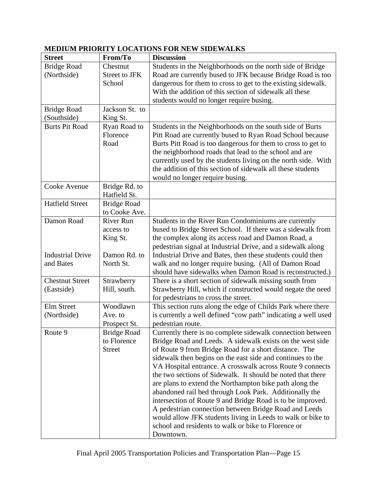| <b>Street</b>           | From/To              | <b>Discussion</b>                                             |
|-------------------------|----------------------|---------------------------------------------------------------|
| <b>Bridge Road</b>      | Chestnut             | Students in the Neighborhoods on the north side of Bridge     |
| (Northside)             | <b>Street to JFK</b> | Road are currently bused to JFK because Bridge Road is too    |
|                         | School               | dangerous for them to cross to get to the existing sidewalk.  |
|                         |                      | With the addition of this section of sidewalk all these       |
|                         |                      | students would no longer require busing.                      |
| <b>Bridge Road</b>      | Jackson St. to       |                                                               |
| (Southside)             | King St.             |                                                               |
| <b>Burts Pit Road</b>   | Ryan Road to         | Students in the Neighborhoods on the south side of Burts      |
|                         | Florence             | Pitt Road are currently bused to Ryan Road School because     |
|                         | Road                 | Burts Pitt Road is too dangerous for them to cross to get to  |
|                         |                      | the neighborhood roads that lead to the school and are        |
|                         |                      | currently used by the students living on the north side. With |
|                         |                      | the addition of this section of sidewalk all these students   |
|                         |                      | would no longer require busing.                               |
| Cooke Avenue            | Bridge Rd. to        |                                                               |
|                         | Hatfield St.         |                                                               |
| <b>Hatfield Street</b>  | <b>Bridge Road</b>   |                                                               |
|                         | to Cooke Ave.        |                                                               |
| Damon Road              | <b>River Run</b>     | Students in the River Run Condominiums are currently          |
|                         | access to            | bused to Bridge Street School. If there was a sidewalk from   |
|                         | King St.             | the complex along its access road and Damon Road, a           |
|                         |                      | pedestrian signal at Industrial Drive, and a sidewalk along   |
| <b>Industrial Drive</b> | Damon Rd. to         | Industrial Drive and Bates, then these students could then    |
| and Bates               | North St.            | walk and no longer require busing. (All of Damon Road         |
|                         |                      | should have sidewalks when Damon Road is reconstructed.)      |
| <b>Chestnut Street</b>  | Strawberry           | There is a short section of sidewalk missing south from       |
| (Eastside)              | Hill, south.         | Strawberry Hill, which if constructed would negate the need   |
|                         |                      | for pedestrians to cross the street.                          |
| <b>Elm Street</b>       | Woodlawn             | This section runs along the edge of Childs Park where there   |
| (Northside)             | Ave. to              | is currently a well defined "cow path" indicating a well used |
|                         | Prospect St.         | pedestrian route.                                             |
| Route 9                 | <b>Bridge Road</b>   | Currently there is no complete sidewalk connection between    |
|                         | to Florence          | Bridge Road and Leeds. A sidewalk exists on the west side     |
|                         | <b>Street</b>        | of Route 9 from Bridge Road for a short distance. The         |
|                         |                      | sidewalk then begins on the east side and continues to the    |
|                         |                      | VA Hospital entrance. A crosswalk across Route 9 connects     |
|                         |                      | the two sections of Sidewalk. It should be noted that there   |
|                         |                      | are plans to extend the Northampton bike path along the       |
|                         |                      | abandoned rail bed through Look Park. Additionally the        |
|                         |                      | intersection of Route 9 and Bridge Road is to be improved.    |
|                         |                      | A pedestrian connection between Bridge Road and Leeds         |
|                         |                      | would allow JFK students living in Leeds to walk or bike to   |
|                         |                      | school and residents to walk or bike to Florence or           |
|                         |                      | Downtown.                                                     |

# **MEDIUM PRIORITY LOCATIONS FOR NEW SIDEWALKS**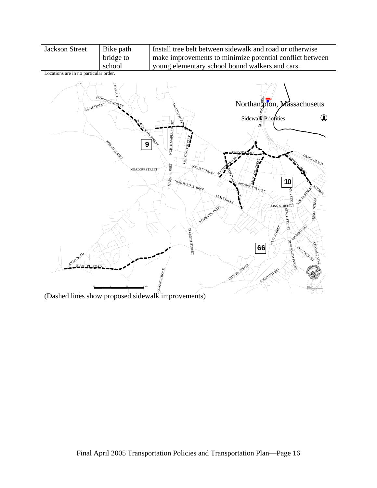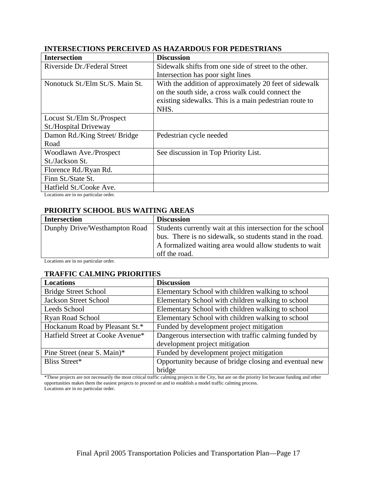| <b>Intersection</b>              | <b>Discussion</b>                                      |
|----------------------------------|--------------------------------------------------------|
| Riverside Dr./Federal Street     | Sidewalk shifts from one side of street to the other.  |
|                                  | Intersection has poor sight lines                      |
| Nonotuck St./Elm St./S. Main St. | With the addition of approximately 20 feet of sidewalk |
|                                  | on the south side, a cross walk could connect the      |
|                                  | existing sidewalks. This is a main pedestrian route to |
|                                  | NHS.                                                   |
| Locust St./Elm St./Prospect      |                                                        |
| <b>St./Hospital Driveway</b>     |                                                        |
| Damon Rd./King Street/ Bridge    | Pedestrian cycle needed                                |
| Road                             |                                                        |
| Woodlawn Ave./Prospect           | See discussion in Top Priority List.                   |
| St./Jackson St.                  |                                                        |
| Florence Rd./Ryan Rd.            |                                                        |
| Finn St./State St.               |                                                        |
| Hatfield St./Cooke Ave.          |                                                        |

#### **INTERSECTIONS PERCEIVED AS HAZARDOUS FOR PEDESTRIANS**

Locations are in no particular order.

### **PRIORITY SCHOOL BUS WAITING AREAS**

| <b>Intersection</b>           | <b>Discussion</b>                                           |
|-------------------------------|-------------------------------------------------------------|
| Dunphy Drive/Westhampton Road | Students currently wait at this intersection for the school |
|                               | bus. There is no sidewalk, so students stand in the road.   |
|                               | A formalized waiting area would allow students to wait      |
|                               | off the road.                                               |

Locations are in no particular order.

#### **TRAFFIC CALMING PRIORITIES**

| <b>Locations</b>                 | <b>Discussion</b>                                      |  |
|----------------------------------|--------------------------------------------------------|--|
| <b>Bridge Street School</b>      | Elementary School with children walking to school      |  |
| <b>Jackson Street School</b>     | Elementary School with children walking to school      |  |
| Leeds School                     | Elementary School with children walking to school      |  |
| Ryan Road School                 | Elementary School with children walking to school      |  |
| Hockanum Road by Pleasant St.*   | Funded by development project mitigation               |  |
| Hatfield Street at Cooke Avenue* | Dangerous intersection with traffic calming funded by  |  |
|                                  | development project mitigation                         |  |
| Pine Street (near S. Main)*      | Funded by development project mitigation               |  |
| Bliss Street*                    | Opportunity because of bridge closing and eventual new |  |
|                                  | bridge                                                 |  |

\*These projects are not necessarily the most critical traffic calming projects in the City, but are on the priority list because funding and other opportunities makes them the easiest projects to proceed on and to establish a model traffic calming process. Locations are in no particular order.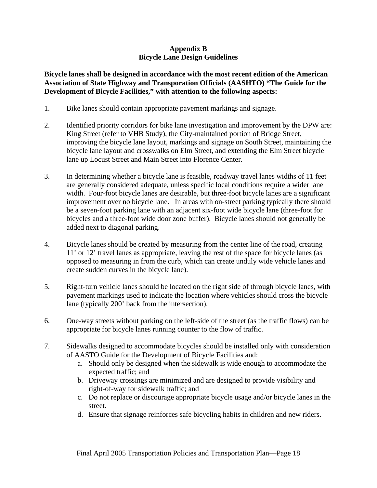## **Appendix B Bicycle Lane Design Guidelines**

**Bicycle lanes shall be designed in accordance with the most recent edition of the American Association of State Highway and Transporation Officials (AASHTO) "The Guide for the Development of Bicycle Facilities," with attention to the following aspects:** 

- 1. Bike lanes should contain appropriate pavement markings and signage.
- 2. Identified priority corridors for bike lane investigation and improvement by the DPW are: King Street (refer to VHB Study), the City-maintained portion of Bridge Street, improving the bicycle lane layout, markings and signage on South Street, maintaining the bicycle lane layout and crosswalks on Elm Street, and extending the Elm Street bicycle lane up Locust Street and Main Street into Florence Center.
- 3. In determining whether a bicycle lane is feasible, roadway travel lanes widths of 11 feet are generally considered adequate, unless specific local conditions require a wider lane width. Four-foot bicycle lanes are desirable, but three-foot bicycle lanes are a significant improvement over no bicycle lane. In areas with on-street parking typically there should be a seven-foot parking lane with an adjacent six-foot wide bicycle lane (three-foot for bicycles and a three-foot wide door zone buffer). Bicycle lanes should not generally be added next to diagonal parking.
- 4. Bicycle lanes should be created by measuring from the center line of the road, creating 11' or 12' travel lanes as appropriate, leaving the rest of the space for bicycle lanes (as opposed to measuring in from the curb, which can create unduly wide vehicle lanes and create sudden curves in the bicycle lane).
- 5. Right-turn vehicle lanes should be located on the right side of through bicycle lanes, with pavement markings used to indicate the location where vehicles should cross the bicycle lane (typically 200' back from the intersection).
- 6. One-way streets without parking on the left-side of the street (as the traffic flows) can be appropriate for bicycle lanes running counter to the flow of traffic.
- 7. Sidewalks designed to accommodate bicycles should be installed only with consideration of AASTO Guide for the Development of Bicycle Facilities and:
	- a. Should only be designed when the sidewalk is wide enough to accommodate the expected traffic; and
	- b. Driveway crossings are minimized and are designed to provide visibility and right-of-way for sidewalk traffic; and
	- c. Do not replace or discourage appropriate bicycle usage and/or bicycle lanes in the street.
	- d. Ensure that signage reinforces safe bicycling habits in children and new riders.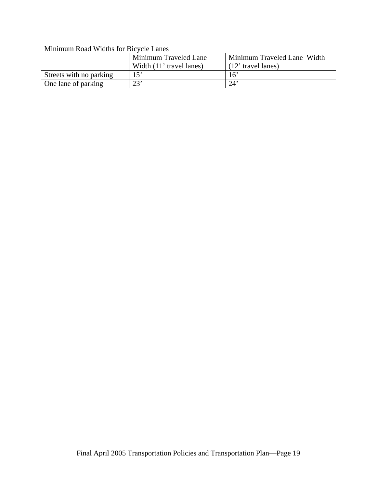## Minimum Road Widths for Bicycle Lanes

|                         | Minimum Traveled Lane    | Minimum Traveled Lane Width |
|-------------------------|--------------------------|-----------------------------|
|                         | Width (11' travel lanes) | $(12'$ travel lanes)        |
| Streets with no parking | 15'                      | 16'                         |
| One lane of parking     | 23'                      | $24^{\circ}$                |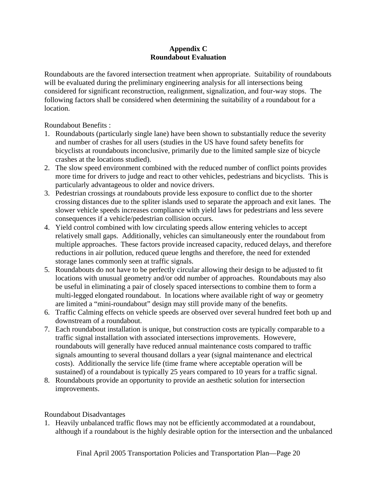## **Appendix C Roundabout Evaluation**

Roundabouts are the favored intersection treatment when appropriate. Suitability of roundabouts will be evaluated during the preliminary engineering analysis for all intersections being considered for significant reconstruction, realignment, signalization, and four-way stops. The following factors shall be considered when determining the suitability of a roundabout for a location.

Roundabout Benefits :

- 1. Roundabouts (particularly single lane) have been shown to substantially reduce the severity and number of crashes for all users (studies in the US have found safety benefits for bicyclists at roundabouts inconclusive, primarily due to the limited sample size of bicycle crashes at the locations studied).
- 2. The slow speed environment combined with the reduced number of conflict points provides more time for drivers to judge and react to other vehicles, pedestrians and bicyclists. This is particularly advantageous to older and novice drivers.
- 3. Pedestrian crossings at roundabouts provide less exposure to conflict due to the shorter crossing distances due to the spliter islands used to separate the approach and exit lanes. The slower vehicle speeds increases compliance with yield laws for pedestrians and less severe consequences if a vehicle/pedestrian collision occurs.
- 4. Yield control combined with low circulating speeds allow entering vehicles to accept relatively small gaps. Additionally, vehicles can simultaneously enter the roundabout from multiple approaches. These factors provide increased capacity, reduced delays, and therefore reductions in air pollution, reduced queue lengths and therefore, the need for extended storage lanes commonly seen at traffic signals.
- 5. Roundabouts do not have to be perfectly circular allowing their design to be adjusted to fit locations with unusual geometry and/or odd number of approaches. Roundabouts may also be useful in eliminating a pair of closely spaced intersections to combine them to form a multi-legged elongated roundabout. In locations where available right of way or geometry are limited a "mini-roundabout" design may still provide many of the benefits.
- 6. Traffic Calming effects on vehicle speeds are observed over several hundred feet both up and downstream of a roundabout.
- 7. Each roundabout installation is unique, but construction costs are typically comparable to a traffic signal installation with associated intersections improvements. Howevere, roundabouts will generally have reduced annual maintenance costs compared to traffic signals amounting to several thousand dollars a year (signal maintenance and electrical costs). Additionally the service life (time frame where acceptable operation will be sustained) of a roundabout is typically 25 years compared to 10 years for a traffic signal.
- 8. Roundabouts provide an opportunity to provide an aesthetic solution for intersection improvements.

## Roundabout Disadvantages

1. Heavily unbalanced traffic flows may not be efficiently accommodated at a roundabout, although if a roundabout is the highly desirable option for the intersection and the unbalanced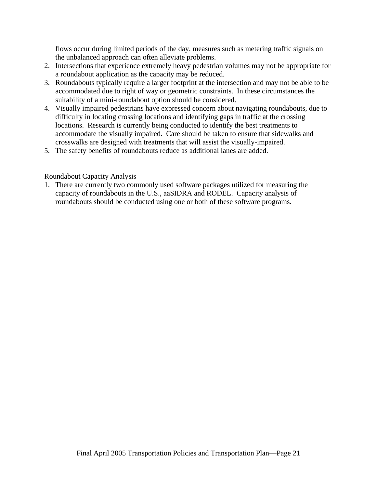flows occur during limited periods of the day, measures such as metering traffic signals on the unbalanced approach can often alleviate problems.

- 2. Intersections that experience extremely heavy pedestrian volumes may not be appropriate for a roundabout application as the capacity may be reduced.
- 3. Roundabouts typically require a larger footprint at the intersection and may not be able to be accommodated due to right of way or geometric constraints. In these circumstances the suitability of a mini-roundabout option should be considered.
- 4. Visually impaired pedestrians have expressed concern about navigating roundabouts, due to difficulty in locating crossing locations and identifying gaps in traffic at the crossing locations. Research is currently being conducted to identify the best treatments to accommodate the visually impaired. Care should be taken to ensure that sidewalks and crosswalks are designed with treatments that will assist the visually-impaired.
- 5. The safety benefits of roundabouts reduce as additional lanes are added.

### Roundabout Capacity Analysis

1. There are currently two commonly used software packages utilized for measuring the capacity of roundabouts in the U.S., aaSIDRA and RODEL. Capacity analysis of roundabouts should be conducted using one or both of these software programs.